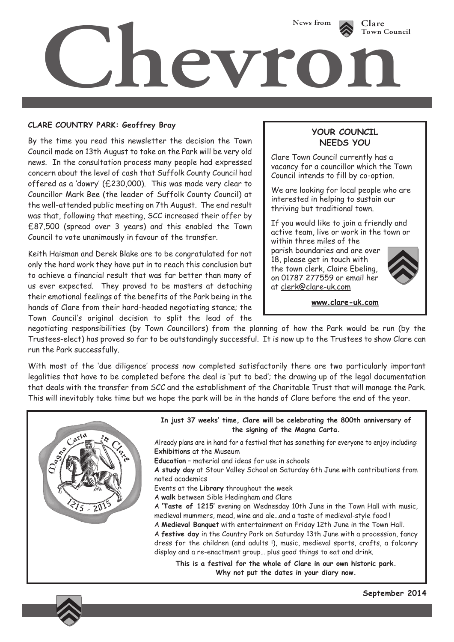

## **CLARE COUNTRY PARK: Geoffrey Bray**

By the time you read this newsletter the decision the Town Council made on 13th August to take on the Park will be very old news. In the consultation process many people had expressed concern about the level of cash that Suffolk County Council had offered as a 'dowry' (£230,000). This was made very clear to Councillor Mark Bee (the leader of Suffolk County Council) at the well-attended public meeting on 7th August. The end result was that, following that meeting, SCC increased their offer by £87,500 (spread over 3 years) and this enabled the Town Council to vote unanimously in favour of the transfer.

Keith Haisman and Derek Blake are to be congratulated for not only the hard work they have put in to reach this conclusion but to achieve a financial result that was far better than many of us ever expected. They proved to be masters at detaching their emotional feelings of the benefits of the Park being in the hands of Clare from their hard-headed negotiating stance; the Town Council's original decision to split the lead of the

## **YOUR COUNCIL NEEDS YOU**

Clare Town Council currently has a vacancy for a councillor which the Town Council intends to fill by co-option.

We are looking for local people who are interested in helping to sustain our thriving but traditional town.

If you would like to join a friendly and active team, live or work in the town or within three miles of the

parish boundaries and are over 18, please get in touch with the town clerk, Claire Ebeling, on 01787 277559 or email her at clerk@clare-uk.com



**www.clare-uk.com**

negotiating responsibilities (by Town Councillors) from the planning of how the Park would be run (by the Trustees-elect) has proved so far to be outstandingly successful. It is now up to the Trustees to show Clare can run the Park successfully.

With most of the 'due diligence' process now completed satisfactorily there are two particularly important legalities that have to be completed before the deal is 'put to bed'; the drawing up of the legal documentation that deals with the transfer from SCC and the establishment of the Charitable Trust that will manage the Park. This will inevitably take time but we hope the park will be in the hands of Clare before the end of the year.



**September 2014**